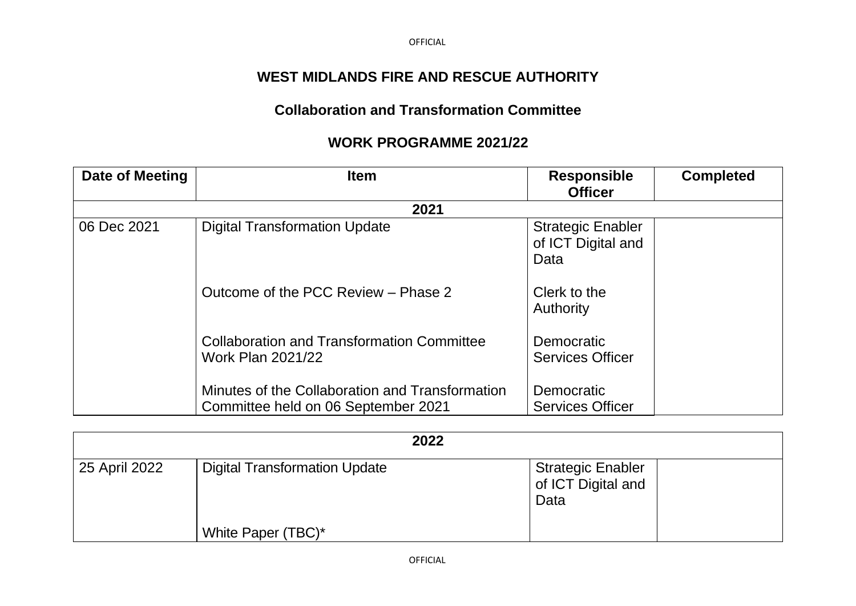OFFICIAL

## **WEST MIDLANDS FIRE AND RESCUE AUTHORITY**

## **Collaboration and Transformation Committee**

## **WORK PROGRAMME 2021/22**

| Date of Meeting | <b>Item</b>                                                                            | <b>Responsible</b><br><b>Officer</b>                   | <b>Completed</b> |  |  |
|-----------------|----------------------------------------------------------------------------------------|--------------------------------------------------------|------------------|--|--|
| 2021            |                                                                                        |                                                        |                  |  |  |
| 06 Dec 2021     | <b>Digital Transformation Update</b>                                                   | <b>Strategic Enabler</b><br>of ICT Digital and<br>Data |                  |  |  |
|                 | Outcome of the PCC Review - Phase 2                                                    | Clerk to the<br><b>Authority</b>                       |                  |  |  |
|                 | <b>Collaboration and Transformation Committee</b><br><b>Work Plan 2021/22</b>          | Democratic<br><b>Services Officer</b>                  |                  |  |  |
|                 | Minutes of the Collaboration and Transformation<br>Committee held on 06 September 2021 | Democratic<br><b>Services Officer</b>                  |                  |  |  |

|               | 2022                                 |                                                        |  |
|---------------|--------------------------------------|--------------------------------------------------------|--|
| 25 April 2022 | <b>Digital Transformation Update</b> | <b>Strategic Enabler</b><br>of ICT Digital and<br>Data |  |
|               | White Paper (TBC)*                   |                                                        |  |